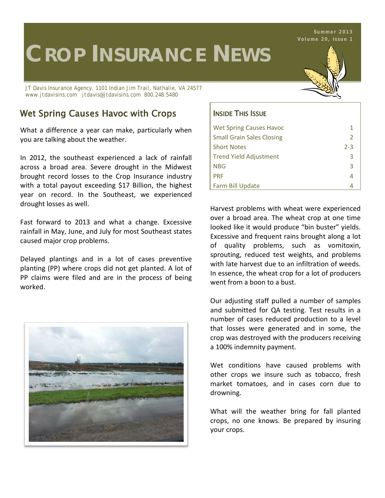# **CROP INSURANCE NEWS**

*JT Davis Insurance Agency, 1101 Indian Jim Trail, Nathalie, VA 24577 www.jtdavisins.com jtdavis@jtdavisins.com 800.248.5480*

### Wet Spring Causes Havoc with Crops  $\vert$  Inside This Issue

What a difference a year can make, particularly when you are talking about the weather.

In 2012, the southeast experienced a lack of rainfall across a broad area. Severe drought in the Midwest brought record losses to the Crop Insurance industry with a total payout exceeding \$17 Billion, the highest year on record. In the Southeast, we experienced drought losses as well.

Fast forward to 2013 and what a change. Excessive rainfall in May, June, and July for most Southeast states caused major crop problems.

Delayed plantings and in a lot of cases preventive planting (PP) where crops did not get planted. A lot of PP claims were filed and are in the process of being worked.





| <b>Wet Spring Causes Havoc</b>   |         |
|----------------------------------|---------|
| <b>Small Grain Sales Closing</b> | 2       |
| <b>Short Notes</b>               | $2 - 3$ |
| <b>Trend Yield Adjustment</b>    | з       |
| <b>NBG</b>                       | З       |
| <b>PRF</b>                       |         |
| Farm Bill Update                 |         |

Harvest problems with wheat were experienced over a broad area. The wheat crop at one time looked like it would produce "bin buster" yields. Excessive and frequent rains brought along a lot of quality problems, such as vomitoxin, sprouting, reduced test weights, and problems with late harvest due to an infiltration of weeds. In essence, the wheat crop for a lot of producers went from a boon to a bust.

Our adjusting staff pulled a number of samples and submitted for QA testing. Test results in a number of cases reduced production to a level that losses were generated and in some, the crop was destroyed with the producers receiving a 100% indemnity payment.

Wet conditions have caused problems with other crops we insure such as tobacco, fresh market tomatoes, and in cases corn due to drowning.

What will the weather bring for fall planted crops, no one knows. Be prepared by insuring your crops.

**Summer 2013 Volume 20, Issue 1**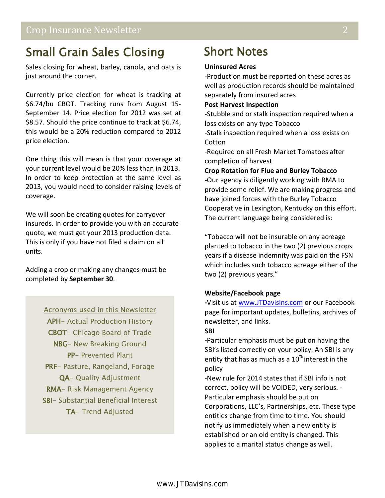### Small Grain Sales Closing

Sales closing for wheat, barley, canola, and oats is just around the corner.

Currently price election for wheat is tracking at \$6.74/bu CBOT. Tracking runs from August 15- September 14. Price election for 2012 was set at \$8.57. Should the price continue to track at \$6.74, this would be a 20% reduction compared to 2012 price election.

One thing this will mean is that your coverage at your current level would be 20% less than in 2013. In order to keep protection at the same level as 2013, you would need to consider raising levels of coverage.

We will soon be creating quotes for carryover insureds. In order to provide you with an accurate quote, we must get your 2013 production data. This is only if you have not filed a claim on all units.

Adding a crop or making any changes must be completed by **September 30**.

#### Acronyms used in this Newsletter

APH- Actual Production History CBOT- Chicago Board of Trade NBG- New Breaking Ground PP- Prevented Plant PRF- Pasture, Rangeland, Forage QA- Quality Adjustment RMA- Risk Management Agency SBI- Substantial Beneficial Interest TA- Trend Adjusted

### Short Notes

#### **Uninsured Acres**

-Production must be reported on these acres as well as production records should be maintained separately from insured acres

#### **Post Harvest Inspection**

**-**Stubble and or stalk inspection required when a loss exists on any type Tobacco

-Stalk inspection required when a loss exists on **Cotton** 

-Required on all Fresh Market Tomatoes after completion of harvest

**Crop Rotation for Flue and Burley Tobacco -**Our agency is diligently working with RMA to provide some relief. We are making progress and have joined forces with the Burley Tobacco Cooperative in Lexington, Kentucky on this effort. The current language being considered is:

"Tobacco will not be insurable on any acreage planted to tobacco in the two (2) previous crops years if a disease indemnity was paid on the FSN which includes such tobacco acreage either of the two (2) previous years."

#### **Website/Facebook page**

**-**Visit us at [www.JTDavisIns.com](http://www.jtdavisins.com/) or our Facebook page for important updates, bulletins, archives of newsletter, and links.

#### **SBI**

**-**Particular emphasis must be put on having the SBI's listed correctly on your policy. An SBI is any entity that has as much as a  $10<sup>%</sup>$  interest in the policy

-New rule for 2014 states that if SBI info is not correct, policy will be VOIDED, very serious. - Particular emphasis should be put on Corporations, LLC's, Partnerships, etc. These type entities change from time to time. You should notify us immediately when a new entity is established or an old entity is changed. This applies to a marital status change as well.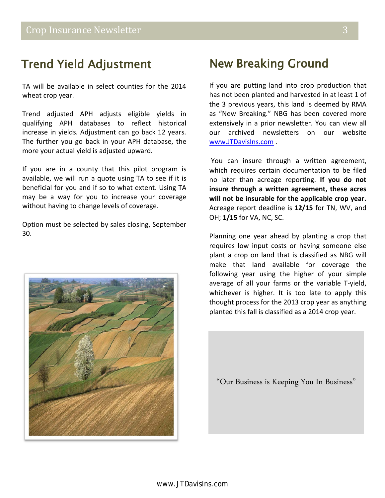### Trend Yield Adjustment

TA will be available in select counties for the 2014 wheat crop year.

Trend adjusted APH adjusts eligible yields in qualifying APH databases to reflect historical increase in yields. Adjustment can go back 12 years. The further you go back in your APH database, the more your actual yield is adjusted upward.

If you are in a county that this pilot program is available, we will run a quote using TA to see if it is beneficial for you and if so to what extent. Using TA may be a way for you to increase your coverage without having to change levels of coverage.

Option must be selected by sales closing, September 30.



### New Breaking Ground

If you are putting land into crop production that has not been planted and harvested in at least 1 of the 3 previous years, this land is deemed by RMA as "New Breaking." NBG has been covered more extensively in a prior newsletter. You can view all our archived newsletters on our website [www.JTDavisIns.com](http://www.jtdavisins.com/) .

You can insure through a written agreement, which requires certain documentation to be filed no later than acreage reporting. **If you do not insure through a written agreement, these acres will not be insurable for the applicable crop year.** Acreage report deadline is **12/15** for TN, WV, and OH; **1/15** for VA, NC, SC.

Planning one year ahead by planting a crop that requires low input costs or having someone else plant a crop on land that is classified as NBG will make that land available for coverage the following year using the higher of your simple average of all your farms or the variable T-yield, whichever is higher. It is too late to apply this thought process for the 2013 crop year as anything planted this fall is classified as a 2014 crop year.

"Our Business is Keeping You In Business"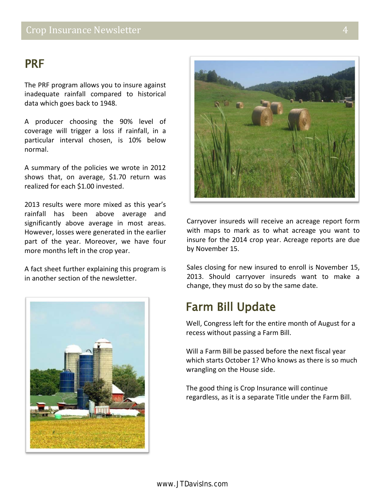### PRF

The PRF program allows you to insure against inadequate rainfall compared to historical data which goes back to 1948.

A producer choosing the 90% level of coverage will trigger a loss if rainfall, in a particular interval chosen, is 10% below normal.

A summary of the policies we wrote in 2012 shows that, on average, \$1.70 return was realized for each \$1.00 invested.

2013 results were more mixed as this year's rainfall has been above average and significantly above average in most areas. However, losses were generated in the earlier part of the year. Moreover, we have four more months left in the crop year.

A fact sheet further explaining this program is in another section of the newsletter.





Carryover insureds will receive an acreage report form with maps to mark as to what acreage you want to insure for the 2014 crop year. Acreage reports are due by November 15.

Sales closing for new insured to enroll is November 15, 2013. Should carryover insureds want to make a change, they must do so by the same date.

## Farm Bill Update

Well, Congress left for the entire month of August for a recess without passing a Farm Bill.

Will a Farm Bill be passed before the next fiscal year which starts October 1? Who knows as there is so much wrangling on the House side.

The good thing is Crop Insurance will continue regardless, as it is a separate Title under the Farm Bill.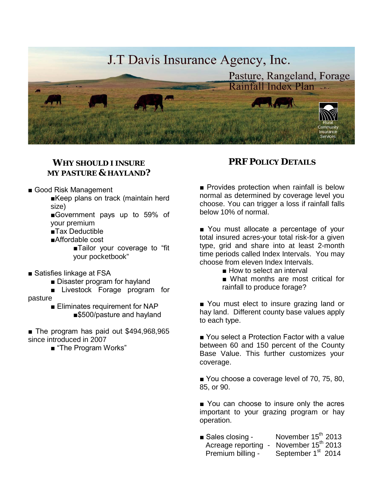

### *WHY SHOULD I INSURE MY PASTURE & HAYLAND?*

- Good Risk Management
	- ■Keep plans on track (maintain herd size)
	- ■Government pays up to 59% of your premium
	- ■Tax Deductible
	- ■Affordable cost
		- ■Tailor your coverage to "fit your pocketbook"
- Satisfies linkage at FSA
	- Disaster program for hayland
- Livestock Forage program for pasture
	- Eliminates requirement for NAP ■\$500/pasture and hayland
- The program has paid out \$494,968,965 since introduced in 2007
	- "The Program Works"

#### *PRF POLICY DETAILS*

■ Provides protection when rainfall is below normal as determined by coverage level you choose. You can trigger a loss if rainfall falls below 10% of normal.

■ You must allocate a percentage of your total insured acres-your total risk-for a given type, grid and share into at least 2-month time periods called Index Intervals. You may choose from eleven Index Intervals.

- How to select an interval
- What months are most critical for rainfall to produce forage?

■ You must elect to insure grazing land or hay land. Different county base values apply to each type.

■ You select a Protection Factor with a value between 60 and 150 percent of the County Base Value. This further customizes your coverage.

■ You choose a coverage level of 70, 75, 80, 85, or 90.

■ You can choose to insure only the acres important to your grazing program or hay operation.

■ Sales closing - November 15<sup>th</sup> 2013 Acreage reporting - November  $15^{\text{th}}$  2013<br>Premium billing - September  $1^{\text{st}}$  2014 September 1st 2014